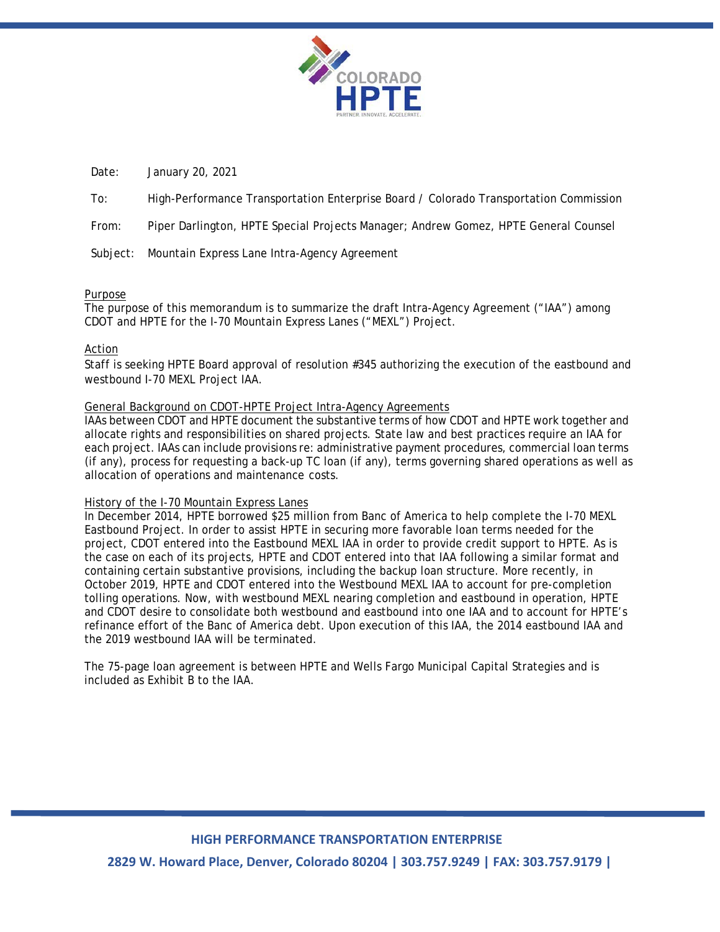

Date: January 20, 2021

To: High-Performance Transportation Enterprise Board / Colorado Transportation Commission

From: Piper Darlington, HPTE Special Projects Manager; Andrew Gomez, HPTE General Counsel

Subject: Mountain Express Lane Intra-Agency Agreement

# Purpose

The purpose of this memorandum is to summarize the draft Intra-Agency Agreement ("IAA") among CDOT and HPTE for the I-70 Mountain Express Lanes ("MEXL") Project.

# Action

Staff is seeking HPTE Board approval of resolution #345 authorizing the execution of the eastbound and westbound I-70 MEXL Project IAA.

### General Background on CDOT-HPTE Project Intra-Agency Agreements

IAAs between CDOT and HPTE document the substantive terms of how CDOT and HPTE work together and allocate rights and responsibilities on shared projects. State law and best practices require an IAA for each project. IAAs can include provisions re: administrative payment procedures, commercial loan terms (if any), process for requesting a back-up TC loan (if any), terms governing shared operations as well as allocation of operations and maintenance costs.

#### History of the I-70 Mountain Express Lanes

In December 2014, HPTE borrowed \$25 million from Banc of America to help complete the I-70 MEXL Eastbound Project. In order to assist HPTE in securing more favorable loan terms needed for the project, CDOT entered into the Eastbound MEXL IAA in order to provide credit support to HPTE. As is the case on each of its projects, HPTE and CDOT entered into that IAA following a similar format and containing certain substantive provisions, including the backup loan structure. More recently, in October 2019, HPTE and CDOT entered into the Westbound MEXL IAA to account for pre-completion tolling operations. Now, with westbound MEXL nearing completion and eastbound in operation, HPTE and CDOT desire to consolidate both westbound and eastbound into one IAA and to account for HPTE's refinance effort of the Banc of America debt. Upon execution of this IAA, the 2014 eastbound IAA and the 2019 westbound IAA will be terminated.

The 75-page loan agreement is between HPTE and Wells Fargo Municipal Capital Strategies and is included as Exhibit B to the IAA.

# **HIGH PERFORMANCE TRANSPORTATION ENTERPRISE**

**2829 W. Howard Place, Denver, Colorado 80204 | 303.757.9249 | FAX: 303.757.9179 |**